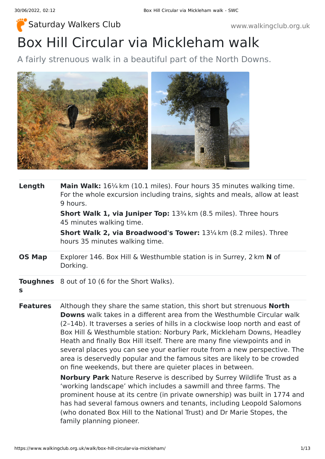# Box Hill Circular via Mickleham walk [Saturday Walkers Club](https://www.walkingclub.org.uk/) www.walkingclub.org.uk

A fairly strenuous walk in a beautiful part of the North Downs.



| Length          | <b>Main Walk:</b> 16 <sup>1/4</sup> km (10.1 miles). Four hours 35 minutes walking time.<br>For the whole excursion including trains, sights and meals, allow at least<br>9 hours.<br><b>Short Walk 1, via Juniper Top:</b> 13 <sup>3</sup> /4 km (8.5 miles). Three hours<br>45 minutes walking time.                                                                                                                                                                                                                                                                                                                    |  |  |
|-----------------|---------------------------------------------------------------------------------------------------------------------------------------------------------------------------------------------------------------------------------------------------------------------------------------------------------------------------------------------------------------------------------------------------------------------------------------------------------------------------------------------------------------------------------------------------------------------------------------------------------------------------|--|--|
|                 |                                                                                                                                                                                                                                                                                                                                                                                                                                                                                                                                                                                                                           |  |  |
|                 | <b>Short Walk 2, via Broadwood's Tower:</b> 13 <sup>1</sup> /4 km (8.2 miles). Three<br>hours 35 minutes walking time.                                                                                                                                                                                                                                                                                                                                                                                                                                                                                                    |  |  |
| <b>OS Map</b>   | Explorer 146. Box Hill & Westhumble station is in Surrey, 2 km N of<br>Dorking.                                                                                                                                                                                                                                                                                                                                                                                                                                                                                                                                           |  |  |
| S               | <b>Toughnes</b> 8 out of 10 (6 for the Short Walks).                                                                                                                                                                                                                                                                                                                                                                                                                                                                                                                                                                      |  |  |
| <b>Features</b> | Although they share the same station, this short but strenuous <b>North</b><br><b>Downs</b> walk takes in a different area from the Westhumble Circular walk<br>(2-14b). It traverses a series of hills in a clockwise loop north and east of<br>Box Hill & Westhumble station: Norbury Park, Mickleham Downs, Headley<br>Heath and finally Box Hill itself. There are many fine viewpoints and in<br>several places you can see your earlier route from a new perspective. The<br>area is deservedly popular and the famous sites are likely to be crowded<br>on fine weekends, but there are quieter places in between. |  |  |
|                 | <b>Norbury Park</b> Nature Reserve is described by Surrey Wildlife Trust as a<br>'working landscape' which includes a sawmill and three farms. The<br>prominent house at its centre (in private ownership) was built in 1774 and<br>has had several famous owners and tenants, including Leopold Salomons<br>(who donated Box Hill to the National Trust) and Dr Marie Stopes, the                                                                                                                                                                                                                                        |  |  |

family planning pioneer.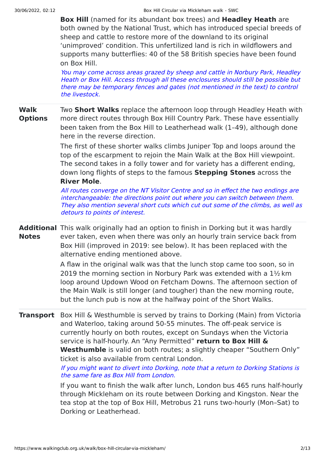**[Box Hill](https://www.nationaltrust.org.uk/box-hill)** (named for its abundant box trees) and **[Headley Heath](https://www.nationaltrust.org.uk/headley-heath)** are both owned by the National Trust, which has introduced special breeds of sheep and cattle to restore more of the downland to its original 'unimproved' condition. This unfertilized land is rich in wildflowers and supports many butterflies: 40 of the 58 British species have been found on Box Hill.

You may come across areas grazed by sheep and cattle in Norbury Park, Headley Heath or Box Hill. Access through all these enclosures should still be possible but there may be temporary fences and gates (not mentioned in the text) to control the livestock.

#### **Walk Options** Two **Short Walks** replace the afternoon loop through Headley Heath with more direct routes through Box Hill Country Park. These have essentially been taken from the [Box Hill to Leatherhead walk](https://www.walkingclub.org.uk/walk/box-hill-to-leatherhead/) (1–49), although done here in the reverse direction.

The first of these shorter walks climbs Juniper Top and loops around the top of the escarpment to rejoin the Main Walk at the Box Hill viewpoint. The second takes in a folly tower and for variety has a different ending, down long flights of steps to the famous **Stepping Stones** across the **River Mole**.

All routes converge on the NT Visitor Centre and so in effect the two endings are interchangeable: the directions point out where you can switch between them. They also mention several short cuts which cut out some of the climbs, as well as detours to points of interest.

**Additional** This walk originally had an option to finish in Dorking but it was hardly **Notes** ever taken, even when there was only an hourly train service back from Box Hill (improved in 2019: see below). It has been replaced with the alternative ending mentioned above.

> A flaw in the original walk was that the lunch stop came too soon, so in 2019 the morning section in Norbury Park was extended with a 1½ km loop around Updown Wood on Fetcham Downs. The afternoon section of the Main Walk is still longer (and tougher) than the new morning route, but the lunch pub is now at the halfway point of the Short Walks.

**Transport** Box Hill & Westhumble is served by trains to Dorking (Main) from Victoria and Waterloo, taking around 50-55 minutes. The off-peak service is currently hourly on both routes, except on Sundays when the Victoria service is half-hourly. An "Any Permitted" **return to Box Hill & Westhumble** is valid on both routes; a slightly cheaper "Southern Only" ticket is also available from central London.

> If you might want to divert into Dorking, note that <sup>a</sup> return to Dorking Stations is the same fare as Box Hill from London.

If you want to finish the walk after lunch, London bus 465 runs half-hourly through Mickleham on its route between Dorking and Kingston. Near the tea stop at the top of Box Hill, Metrobus 21 runs two-hourly (Mon–Sat) to Dorking or Leatherhead.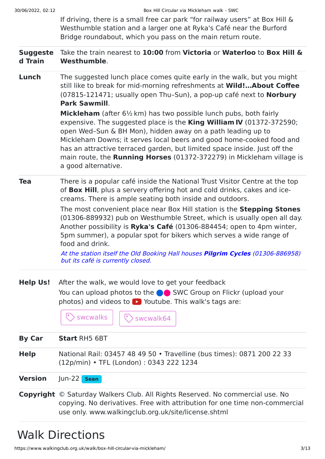| 30/06/2022, 02:12          | Box Hill Circular via Mickleham walk - SWC                                                                                                                                                                                                                                                                                                                                                                                                                                                                                                                                                                                     |  |  |
|----------------------------|--------------------------------------------------------------------------------------------------------------------------------------------------------------------------------------------------------------------------------------------------------------------------------------------------------------------------------------------------------------------------------------------------------------------------------------------------------------------------------------------------------------------------------------------------------------------------------------------------------------------------------|--|--|
|                            | If driving, there is a small free car park "for railway users" at Box Hill &<br>Westhumble station and a larger one at Ryka's Café near the Burford<br>Bridge roundabout, which you pass on the main return route.                                                                                                                                                                                                                                                                                                                                                                                                             |  |  |
| <b>Suggeste</b><br>d Train | Take the train nearest to 10:00 from Victoria or Waterloo to Box Hill &<br>Westhumble.                                                                                                                                                                                                                                                                                                                                                                                                                                                                                                                                         |  |  |
| Lunch                      | The suggested lunch place comes quite early in the walk, but you might<br>still like to break for mid-morning refreshments at Wild! About Coffee<br>(07815-121471; usually open Thu-Sun), a pop-up café next to Norbury<br><b>Park Sawmill.</b>                                                                                                                                                                                                                                                                                                                                                                                |  |  |
|                            | <b>Mickleham</b> (after $6\frac{1}{2}$ km) has two possible lunch pubs, both fairly<br>expensive. The suggested place is the King William IV (01372-372590;<br>open Wed-Sun & BH Mon), hidden away on a path leading up to<br>Mickleham Downs; it serves local beers and good home-cooked food and<br>has an attractive terraced garden, but limited space inside. Just off the<br>main route, the <b>Running Horses</b> (01372-372279) in Mickleham village is<br>a good alternative.                                                                                                                                         |  |  |
| <b>Tea</b>                 | There is a popular café inside the National Trust Visitor Centre at the top<br>of Box Hill, plus a servery offering hot and cold drinks, cakes and ice-<br>creams. There is ample seating both inside and outdoors.<br>The most convenient place near Box Hill station is the Stepping Stones<br>(01306-889932) pub on Westhumble Street, which is usually open all day.<br>Another possibility is Ryka's Café (01306-884454; open to 4pm winter,<br>5pm summer), a popular spot for bikers which serves a wide range of<br>food and drink.<br>At the station itself the Old Booking Hall houses Pilgrim Cycles (01306-886958) |  |  |
| <b>Help Us!</b>            | but its café is currently closed.<br>After the walk, we would love to get your feedback<br>You can upload photos to the <b>OC</b> SWC Group on Flickr (upload your<br>photos) and videos to $\bullet$ Youtube. This walk's tags are:<br>swcwalks<br>swcwalk64                                                                                                                                                                                                                                                                                                                                                                  |  |  |
| <b>By Car</b>              | <b>Start RH5 6BT</b>                                                                                                                                                                                                                                                                                                                                                                                                                                                                                                                                                                                                           |  |  |
| <b>Help</b>                | National Rail: 03457 48 49 50 • Travelline (bus times): 0871 200 22 33<br>(12p/min) • TFL (London): 0343 222 1234                                                                                                                                                                                                                                                                                                                                                                                                                                                                                                              |  |  |
| <b>Version</b>             | $ un-22 $ Sean                                                                                                                                                                                                                                                                                                                                                                                                                                                                                                                                                                                                                 |  |  |
|                            | <b>Copyright</b> © Saturday Walkers Club. All Rights Reserved. No commercial use. No<br>copying. No derivatives. Free with attribution for one time non-commercial<br>use only. www.walkingclub.org.uk/site/license.shtml                                                                                                                                                                                                                                                                                                                                                                                                      |  |  |

# Walk Directions

https://www.walkingclub.org.uk/walk/box-hill-circular-via-mickleham/ 3/13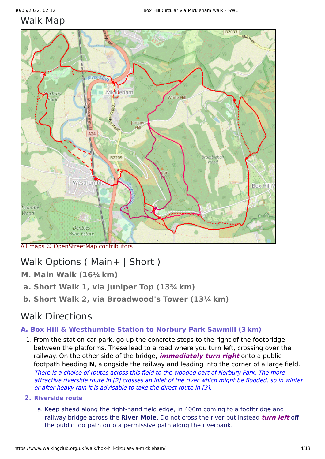## [Walk](javascript:son_showroutes() Map



All maps © [OpenStreetMap](https://www.openstreetmap.org/copyright) contributors

# Walk [Options](javascript:son_showsection() ( [Main+](javascript:son_showsection() | [Short](javascript:son_showsection() )

- **M. [Main Walk](javascript:son_showsection() (16¼ km)**
- **a. [Short Walk 1, via Juniper Top](javascript:son_showsection() (13¾ km)**
- **b. [Short Walk 2, via Broadwood's Tower](javascript:son_showsection() (13¼ km)**

## Walk [Directions](javascript:son_showdetails(-14);)

### **A. [Box Hill & Westhumble Station to Norbury Park Sawmill](javascript:son_showdetails(1);) (3 km)**

- 1. From the station car park, go up the concrete steps to the right of the footbridge between the platforms. These lead to a road where you turn left, crossing over the railway. On the other side of the bridge, **immediately turn right** onto a public footpath heading **N**, alongside the railway and leading into the corner of a large field. There is <sup>a</sup> choice of routes across this field to the wooded part of Norbury Park. The more attractive riverside route in [\[2](#page-3-0)] crosses an inlet of the river which might be flooded, so in winter or after heavy rain it is advisable to take the direct route in [\[3](#page-4-0)].
- <span id="page-3-0"></span>**2. Riverside route**
	- a. Keep ahead along the right-hand field edge, in 400m coming to a footbridge and railway bridge across the **River Mole**. Do not cross the river but instead **turn left** off the public footpath onto a permissive path along the riverbank.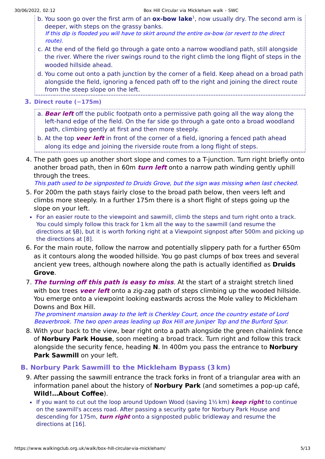- b. You soon go over the first arm of an **ox-bow lake**<sup>[1](#page-11-0)</sup>, now usually dry. The second arm is deeper, with steps on the grassy banks. If this dip is flooded you will have to skirt around the entire ox-bow (or revert to the direct route).
- c. At the end of the field go through a gate onto a narrow woodland path, still alongside the river. Where the river swings round to the right climb the long flight of steps in the wooded hillside ahead.
- d. You come out onto a path junction by the corner of a field. Keep ahead on a broad path alongside the field, ignoring a fenced path off to the right and joining the direct route from the steep slope on the left.

#### <span id="page-4-0"></span>**3. Direct route (−175m)**

a. **Bear left** off the public footpath onto a permissive path going all the way along the left-hand edge of the field. On the far side go through a gate onto a broad woodland path, climbing gently at first and then more steeply.

b. At the top **veer left** in front of the corner of a field, ignoring a fenced path ahead along its edge and joining the riverside route from a long flight of steps.

4. The path goes up another short slope and comes to a T-junction. Turn right briefly onto another broad path, then in 60m **turn left** onto a narrow path winding gently uphill through the trees.

This path used to be signposted to Druids Grove, but the sign was missing when last checked.

- 5. For 200m the path stays fairly close to the broad path below, then veers left and climbs more steeply. In a further 175m there is a short flight of steps going up the slope on your left.
- For an easier route to the viewpoint and sawmill, climb the steps and turn right onto a track. You could simply follow this track for 1 km all the way to the sawmill (and resume the directions at [§B\)](#page-4-1), but it is worth forking right at a Viewpoint signpost after 500m and picking up the directions at [[8](#page-4-2)].
- 6. For the main route, follow the narrow and potentially slippery path for a further 650m as it contours along the wooded hillside. You go past clumps of box trees and several ancient yew trees, although nowhere along the path is actually identified as **Druids Grove**.
- 7. **The turning off this path is easy to miss**. At the start of a straight stretch lined with box trees **veer left** onto a zig-zag path of steps climbing up the wooded hillside. You emerge onto a viewpoint looking eastwards across the Mole valley to Mickleham Downs and Box Hill.

The prominent mansion away to the left is Cherkley Court, once the country estate of Lord Beaverbrook. The two open areas leading up Box Hill are Juniper Top and the Burford Spur.

<span id="page-4-2"></span>8. With your back to the view, bear right onto a path alongside the green chainlink fence of **Norbury Park House**, soon meeting a broad track. Turn right and follow this track alongside the security fence, heading **N**. In 400m you pass the entrance to **Norbury Park Sawmill** on your left.

### <span id="page-4-1"></span>**B. [Norbury Park Sawmill to the Mickleham Bypass](javascript:son_showdetails(2);) (3 km)**

- 9. After passing the sawmill entrance the track forks in front of a triangular area with an information panel about the history of **Norbury Park** (and sometimes a pop-up café, **Wild!…About Coffee**).
	- If you want to cut out the loop around Updown Wood (saving 1½ km) **keep right** to continue on the sawmill's access road. After passing a security gate for Norbury Park House and descending for 175m, **turn right** onto a signposted public bridleway and resume the directions at [[16](#page-5-0)].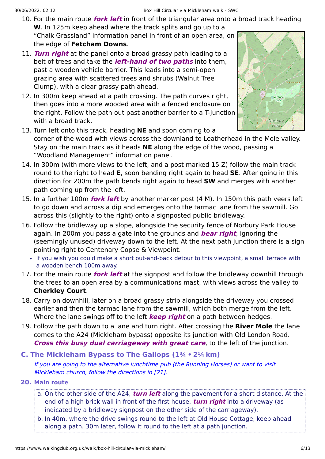- 10. For the main route **fork left** in front of the triangular area onto a broad track heading **W**. In 125m keep ahead where the track splits and go up to a "Chalk Grassland" information panel in front of an open area, on the edge of **Fetcham Downs**.
- 11. **Turn right** at the panel onto a broad grassy path leading to a belt of trees and take the **left-hand of two paths** into them, past a wooden vehicle barrier. This leads into a semi-open grazing area with scattered trees and shrubs (Walnut Tree Clump), with a clear grassy path ahead.
- 12. In 300m keep ahead at a path crossing. The path curves right, then goes into a more wooded area with a fenced enclosure on the right. Follow the path out past another barrier to a T-junction with a broad track.
- Park 13. Turn left onto this track, heading **NE** and soon coming to a corner of the wood with views across the downland to Leatherhead in the Mole valley. Stay on the main track as it heads **NE** along the edge of the wood, passing a "Woodland Management" information panel.
- 14. In 300m (with more views to the left, and a post marked 15 Z) follow the main track round to the right to head **E**, soon bending right again to head **SE**. After going in this direction for 200m the path bends right again to head **SW** and merges with another path coming up from the left.
- 15. In a further 100m **fork left** by another marker post (4 M). In 150m this path veers left to go down and across a dip and emerges onto the tarmac lane from the sawmill. Go across this (slightly to the right) onto a signposted public bridleway.
- <span id="page-5-0"></span>16. Follow the bridleway up a slope, alongside the security fence of Norbury Park House again. In 200m you pass a gate into the grounds and **bear right**, ignoring the (seemingly unused) driveway down to the left. At the next path junction there is a sign pointing right to Centenary Copse & Viewpoint.
	- If you wish you could make a short out-and-back detour to this viewpoint, a small terrace with a wooden bench 100m away.
- 17. For the main route **fork left** at the signpost and follow the bridleway downhill through the trees to an open area by a communications mast, with views across the valley to **Cherkley Court**.
- 18. Carry on downhill, later on a broad grassy strip alongside the driveway you crossed earlier and then the tarmac lane from the sawmill, which both merge from the left. Where the lane swings off to the left **keep right** on a path between hedges.
- 19. Follow the path down to a lane and turn right. After crossing the **River Mole** the lane comes to the A24 (Mickleham bypass) opposite its junction with Old London Road. **Cross this busy dual carriageway with great care**, to the left of the junction.
- **C. [The Mickleham Bypass to The Gallops](javascript:son_showdetails(3);) (1¾ • 2¼ km)**

If you are going to the alternative lunchtime pub (the Running Horses) or want to visit Mickleham church, follow the directions in [\[21](#page-6-0)].

- **20. Main route**
	- a. On the other side of the A24, **turn left** along the pavement for a short distance. At the end of a high brick wall in front of the first house, **turn right** into a driveway (as indicated by a bridleway signpost on the other side of the carriageway).
	- b. In 40m, where the drive swings round to the left at Old House Cottage, keep ahead along a path. 30m later, follow it round to the left at a path junction.

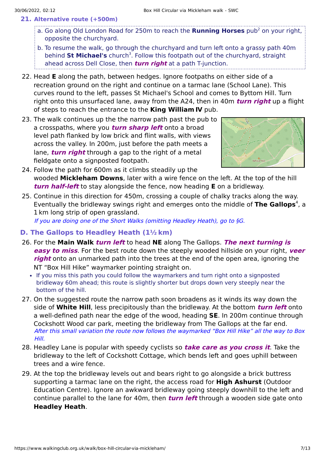- <span id="page-6-0"></span>**21. Alternative route (+500m)**
	- a. Go along Old London Road for [2](#page-11-1)50m to reach the **Running Horses** pub<sup>2</sup> on your right, opposite the churchyard.
	- b. To resume the walk, go through the churchyard and turn left onto a grassy path 40m behind St Michael's church<sup>[3](#page-11-2)</sup>. Follow this footpath out of the churchyard, straight ahead across Dell Close, then **turn right** at a path T-junction.
- 22. Head **E** along the path, between hedges. Ignore footpaths on either side of a recreation ground on the right and continue on a tarmac lane (School Lane). This curves round to the left, passes St Michael's School and comes to Byttom Hill. Turn right onto this unsurfaced lane, away from the A24, then in 40m **turn right** up a flight of steps to reach the entrance to the **King William Ⅳ** pub.
- 23. The walk continues up the the narrow path past the pub to a crosspaths, where you **turn sharp left** onto a broad level path flanked by low brick and flint walls, with views across the valley. In 200m, just before the path meets a lane, **turn right** through a gap to the right of a metal fieldgate onto a signposted footpath.



- 24. Follow the path for 600m as it climbs steadily up the wooded **Mickleham Downs**, later with a wire fence on the left. At the top of the hill **turn half-left** to stay alongside the fence, now heading **E** on a bridleway.
- 25. Continue in this direction for 450m, crossing a couple of chalky tracks along the way. Eventually the bridleway swings right and emerges onto the middle of The Gallops<sup>[4](#page-11-3)</sup>, a 1 km long strip of open grassland.

If you are doing one of the Short Walks (omitting Headley Heath), go to [§G](#page-8-0).

- **D. [The Gallops to Headley Heath](javascript:son_showdetails(4);) (1½ km)**
- 26. For the **Main Walk turn left** to head **NE** along The Gallops. **The next turning is easy to miss**. For the best route down the steeply wooded hillside on your right, **veer right** onto an unmarked path into the trees at the end of the open area, ignoring the NT "Box Hill Hike" waymarker pointing straight on.
	- If you miss this path you could follow the waymarkers and turn right onto a signposted bridleway 60m ahead; this route is slightly shorter but drops down very steeply near the bottom of the hill.
- 27. On the suggested route the narrow path soon broadens as it winds its way down the side of **White Hill**, less precipitously than the bridleway. At the bottom **turn left** onto a well-defined path near the edge of the wood, heading **SE**. In 200m continue through Cockshott Wood car park, meeting the bridleway from The Gallops at the far end. After this small variation the route now follows the waymarked "Box Hill Hike" all the way to Box Hill.
- 28. Headley Lane is popular with speedy cyclists so **take care as you cross it**. Take the bridleway to the left of Cockshott Cottage, which bends left and goes uphill between trees and a wire fence.
- 29. At the top the bridleway levels out and bears right to go alongside a brick buttress supporting a tarmac lane on the right, the access road for **High Ashurst** (Outdoor Education Centre). Ignore an awkward bridleway going steeply downhill to the left and continue parallel to the lane for 40m, then **turn left** through a wooden side gate onto **Headley Heath**.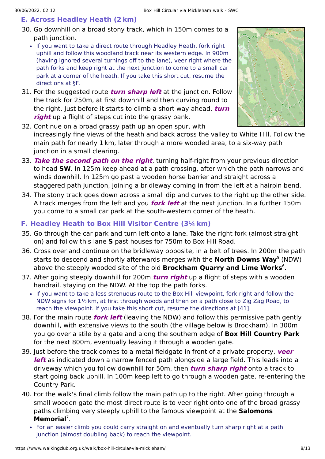#### **E. [Across Headley Heath](javascript:son_showdetails(5);) (2 km)**

- 30. Go downhill on a broad stony track, which in 150m comes to a path junction.
	- If you want to take a direct route through Headley Heath, fork right uphill and follow this woodland track near its western edge. In 900m (having ignored several turnings off to the lane), veer right where the path forks and keep right at the next junction to come to a small car park at a corner of the heath. If you take this short cut, resume the directions at [§F](#page-7-0).
- 31. For the suggested route **turn sharp left** at the junction. Follow the track for 250m, at first downhill and then curving round to the right. Just before it starts to climb a short way ahead, **turn right** up a flight of steps cut into the grassy bank.



- 32. Continue on a broad grassy path up an open spur, with increasingly fine views of the heath and back across the valley to White Hill. Follow the main path for nearly 1 km, later through a more wooded area, to a six-way path junction in a small clearing.
- 33. **Take the second path on the right**, turning half-right from your previous direction to head **SW**. In 125m keep ahead at a path crossing, after which the path narrows and winds downhill. In 125m go past a wooden horse barrier and straight across a staggered path junction, joining a bridleway coming in from the left at a hairpin bend.
- 34. The stony track goes down across a small dip and curves to the right up the other side. A track merges from the left and you **fork left** at the next junction. In a further 150m you come to a small car park at the south-western corner of the heath.

#### <span id="page-7-0"></span>**F. [Headley Heath to Box Hill Visitor Centre](javascript:son_showdetails(6);) (3¼ km)**

- 35. Go through the car park and turn left onto a lane. Take the right fork (almost straight on) and follow this lane **S** past houses for 750m to Box Hill Road.
- 36. Cross over and continue on the bridleway opposite, in a belt of trees. In 200m the path starts to descend and shortly afterwards merges with the **North Downs Way**<sup>[5](#page-11-4)</sup> (NDW) above the steeply wooded site of the old **Brockham Quarry and Lime Works** . [6](#page-11-5)
- 37. After going steeply downhill for 200m **turn right** up a flight of steps with a wooden handrail, staying on the NDW. At the top the path forks.
	- If you want to take a less strenuous route to the Box Hill viewpoint, fork right and follow the NDW signs for 1½ km, at first through woods and then on a path close to Zig Zag Road, to reach the viewpoint. If you take this short cut, resume the directions at [\[41](#page-8-1)].
- 38. For the main route **fork left** (leaving the NDW) and follow this permissive path gently downhill, with extensive views to the south (the village below is Brockham). In 300m you go over a stile by a gate and along the southern edge of **Box Hill Country Park** for the next 800m, eventually leaving it through a wooden gate.
- 39. Just before the track comes to a metal fieldgate in front of a private property, **veer left** as indicated down a narrow fenced path alongside a large field. This leads into a driveway which you follow downhill for 50m, then **turn sharp right** onto a track to start going back uphill. In 100m keep left to go through a wooden gate, re-entering the Country Park.
- 40. For the walk's final climb follow the main path up to the right. After going through a small wooden gate the most direct route is to veer right onto one of the broad grassy paths climbing very steeply uphill to the famous viewpoint at the **Salomons** Memorial<sup>[7](#page-11-6)</sup>.
	- For an easier climb you could carry straight on and eventually turn sharp right at a path junction (almost doubling back) to reach the viewpoint.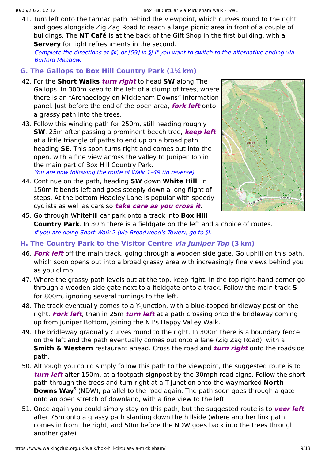<span id="page-8-1"></span>41. Turn left onto the tarmac path behind the viewpoint, which curves round to the right and goes alongside Zig Zag Road to reach a large picnic area in front of a couple of buildings. The **NT Café** is at the back of the Gift Shop in the first building, with a **Servery** for light refreshments in the second.

Complete the directions at [§K](#page-10-0), or [\[59](#page-9-0)] in [§J](#page-9-1) if you want to switch to the alternative ending via Burford Meadow.

#### <span id="page-8-0"></span>**G. [The Gallops to Box Hill Country Park](javascript:son_showdetails(7);) (1¼ km)**

- 42. For the **Short Walks turn right** to head **SW** along The Gallops. In 300m keep to the left of a clump of trees, where there is an "Archaeology on Mickleham Downs" information panel. Just before the end of the open area, **fork left** onto a grassy path into the trees.
- 43. Follow this winding path for 250m, still heading roughly **SW**. 25m after passing a prominent beech tree, **keep left** at a little triangle of paths to end up on a broad path heading **SE**. This soon turns right and comes out into the open, with a fine view across the valley to Juniper Top in the main part of Box Hill Country Park. You are now following the route of Walk 1–49 (in reverse).
- 44. Continue on the path, heading **SW** down **White Hill**. In 150m it bends left and goes steeply down a long flight of steps. At the bottom Headley Lane is popular with speedy cyclists as well as cars so **take care as you cross it**.



- 45. Go through Whitehill car park onto a track into **Box Hill Country Park**. In 30m there is a fieldgate on the left and a choice of routes. If you are doing Short Walk 2 (via Broadwood's Tower), go to [§I](#page-9-2).
- **H. [The Country Park to the Visitor Centre](javascript:son_showdetails(8);) via Juniper Top (3 km)**
- 46. **Fork left** off the main track, going through a wooden side gate. Go uphill on this path, which soon opens out into a broad grassy area with increasingly fine views behind you as you climb.
- 47. Where the grassy path levels out at the top, keep right. In the top right-hand corner go through a wooden side gate next to a fieldgate onto a track. Follow the main track **S** for 800m, ignoring several turnings to the left.
- 48. The track eventually comes to a Y-junction, with a blue-topped bridleway post on the right. **Fork left**, then in 25m **turn left** at a path crossing onto the bridleway coming up from Juniper Bottom, joining the NT's Happy Valley Walk.
- 49. The bridleway gradually curves round to the right. In 300m there is a boundary fence on the left and the path eventually comes out onto a lane (Zig Zag Road), with a **Smith & Western** restaurant ahead. Cross the road and **turn right** onto the roadside path.
- 50. Although you could simply follow this path to the viewpoint, the suggested route is to **turn left** after 150m, at a footpath signpost by the 30mph road signs. Follow the short path through the trees and turn right at a T-junction onto the waymarked **North Downs Way**<sup>[5](#page-11-4)</sup> (NDW), parallel to the road again. The path soon goes through a gate onto an open stretch of downland, with a fine view to the left.
- 51. Once again you could simply stay on this path, but the suggested route is to **veer left** after 75m onto a grassy path slanting down the hillside (where another link path comes in from the right, and 50m before the NDW goes back into the trees through another gate).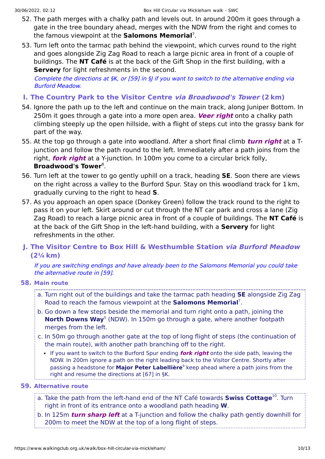- 52. The path merges with a chalky path and levels out. In around 200m it goes through a gate in the tree boundary ahead, merges with the NDW from the right and comes to the famous viewpoint at the **Salomons Memorial**<sup>[7](#page-11-6)</sup>.
- 53. Turn left onto the tarmac path behind the viewpoint, which curves round to the right and goes alongside Zig Zag Road to reach a large picnic area in front of a couple of buildings. The **NT Café** is at the back of the Gift Shop in the first building, with a **Servery** for light refreshments in the second.

Complete the directions at [§K](#page-10-0), or [\[59](#page-9-0)] in §| if you want to switch to the alternative ending via Burford Meadow.

- <span id="page-9-2"></span>**I. [The Country Park to the Visitor Centre](javascript:son_showdetails(9);) via Broadwood's Tower (2 km)**
- 54. Ignore the path up to the left and continue on the main track, along Juniper Bottom. In 250m it goes through a gate into a more open area. **Veer right** onto a chalky path climbing steeply up the open hillside, with a flight of steps cut into the grassy bank for part of the way.
- 55. At the top go through a gate into woodland. After a short final climb **turn right** at a Tjunction and follow the path round to the left. Immediately after a path joins from the right, **fork right** at a Y-junction. In 100m you come to a circular brick folly, **Broadwood's Tower<sup>[8](#page-11-7)</sup>.**
- 56. Turn left at the tower to go gently uphill on a track, heading **SE**. Soon there are views on the right across a valley to the Burford Spur. Stay on this woodland track for 1 km, gradually curving to the right to head **S**.
- 57. As you approach an open space (Donkey Green) follow the track round to the right to pass it on your left. Skirt around or cut through the NT car park and cross a lane (Zig Zag Road) to reach a large picnic area in front of a couple of buildings. The **NT Café** is at the back of the Gift Shop in the left-hand building, with a **Servery** for light refreshments in the other.

### <span id="page-9-1"></span>**J. [The Visitor Centre to Box Hill & Westhumble Station](javascript:son_showdetails([10, 12, 13, 14]);) via Burford Meadow (2¼ km)**

If you are switching endings and have already been to the Salomons Memorial you could take the alternative route in [\[59](#page-9-0)].

#### **58. Main route**

- a. Turn right out of the buildings and take the tarmac path heading **SE** alongside Zig Zag Road to reach the famous viewpoint at the **Salomons Memorial**<sup>[7](#page-11-6)</sup>.
- b. Go down a few steps beside the memorial and turn right onto a path, joining the **North Downs Way**<sup>[5](#page-11-4)</sup> (NDW). In 150m go through a gate, where another footpath merges from the left.
- c. In 50m go through another gate at the top of long flight of steps (the continuation of the main route), with another path branching off to the right.
	- If you want to switch to the Burford Spur ending **fork right** onto the side path, leaving the NDW. In 200m ignore a path on the right leading back to the Visitor Centre. Shortly after passing a headstone for **Major Peter Labellière**<sup>[9](#page-11-8)</sup> keep ahead where a path joins from the right and resume the directions at [[67\]](#page-10-1) in [§K](#page-10-0).
- <span id="page-9-0"></span>**59. Alternative route**

a. Take the path from the left-hand end of the NT Café towards **Swiss Cottage**<sup>[10](#page-11-9)</sup>. Turn right in front of its entrance onto a woodland path heading **W**.

b. In 125m **turn sharp left** at a T-junction and follow the chalky path gently downhill for 200m to meet the NDW at the top of a long flight of steps.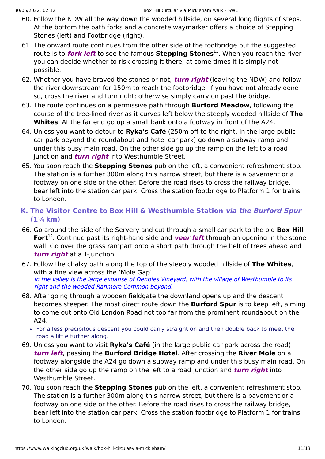- 60. Follow the NDW all the way down the wooded hillside, on several long flights of steps. At the bottom the path forks and a concrete waymarker offers a choice of Stepping Stones (left) and Footbridge (right).
- 61. The onward route continues from the other side of the footbridge but the suggested route is to *fork left* to see the famous Stepping Stones<sup>[11](#page-11-10)</sup>. When you reach the river you can decide whether to risk crossing it there; at some times it is simply not possible.
- 62. Whether you have braved the stones or not, **turn right** (leaving the NDW) and follow the river downstream for 150m to reach the footbridge. If you have not already done so, cross the river and turn right; otherwise simply carry on past the bridge.
- 63. The route continues on a permissive path through **Burford Meadow**, following the course of the tree-lined river as it curves left below the steeply wooded hillside of **The Whites**. At the far end go up a small bank onto a footway in front of the A24.
- 64. Unless you want to detour to **Ryka's Café** (250m off to the right, in the large public car park beyond the roundabout and hotel car park) go down a subway ramp and under this busy main road. On the other side go up the ramp on the left to a road junction and **turn right** into Westhumble Street.
- 65. You soon reach the **Stepping Stones** pub on the left, a convenient refreshment stop. The station is a further 300m along this narrow street, but there is a pavement or a footway on one side or the other. Before the road rises to cross the railway bridge, bear left into the station car park. Cross the station footbridge to Platform 1 for trains to London.

### <span id="page-10-0"></span>**K. [The Visitor Centre to Box Hill & Westhumble Station](javascript:son_showdetails(11);) via the Burford Spur (1¾ km)**

- 66. Go around the side of the Servery and cut through a small car park to the old **Box Hill** Fort<sup>[12](#page-11-11)</sup>. Continue past its right-hand side and veer left through an opening in the stone wall. Go over the grass rampart onto a short path through the belt of trees ahead and **turn right** at a T-junction.
- <span id="page-10-1"></span>67. Follow the chalky path along the top of the steeply wooded hillside of **The Whites**, with a fine view across the 'Mole Gap'. In the valley is the large expanse of Denbies Vineyard, with the village of Westhumble to its right and the wooded Ranmore Common beyond.
- 68. After going through a wooden fieldgate the downland opens up and the descent becomes steeper. The most direct route down the **Burford Spur** is to keep left, aiming to come out onto Old London Road not too far from the prominent roundabout on the A24.
	- For a less precipitous descent you could carry straight on and then double back to meet the road a little further along.
- 69. Unless you want to visit **Ryka's Café** (in the large public car park across the road) **turn left**, passing the **Burford Bridge Hotel**. After crossing the **River Mole** on a footway alongside the A24 go down a subway ramp and under this busy main road. On the other side go up the ramp on the left to a road junction and **turn right** into Westhumble Street.
- 70. You soon reach the **Stepping Stones** pub on the left, a convenient refreshment stop. The station is a further 300m along this narrow street, but there is a pavement or a footway on one side or the other. Before the road rises to cross the railway bridge, bear left into the station car park. Cross the station footbridge to Platform 1 for trains to London.